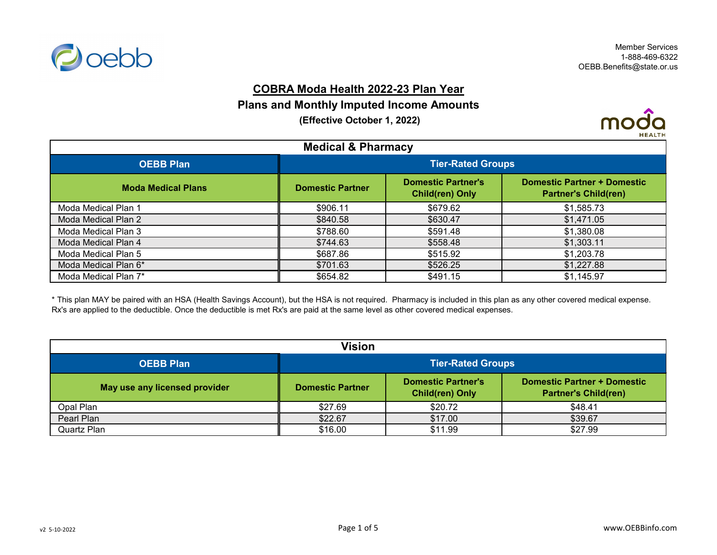

### **COBRA Moda Health 2022-23 Plan Year**

#### **Plans and Monthly Imputed Income Amounts**

 **(Effective October 1, 2022)**



| <b>Medical &amp; Pharmacy</b> |                          |                                                     |                                                                   |
|-------------------------------|--------------------------|-----------------------------------------------------|-------------------------------------------------------------------|
| <b>OEBB Plan</b>              | <b>Tier-Rated Groups</b> |                                                     |                                                                   |
| <b>Moda Medical Plans</b>     | <b>Domestic Partner</b>  | <b>Domestic Partner's</b><br><b>Child(ren) Only</b> | <b>Domestic Partner + Domestic</b><br><b>Partner's Child(ren)</b> |
| Moda Medical Plan 1           | \$906.11                 | \$679.62                                            | \$1,585.73                                                        |
| Moda Medical Plan 2           | \$840.58                 | \$630.47                                            | \$1,471.05                                                        |
| Moda Medical Plan 3           | \$788.60                 | \$591.48                                            | \$1,380.08                                                        |
| Moda Medical Plan 4           | \$744.63                 | \$558.48                                            | \$1,303.11                                                        |
| Moda Medical Plan 5           | \$687.86                 | \$515.92                                            | \$1,203.78                                                        |
| Moda Medical Plan 6*          | \$701.63                 | \$526.25                                            | \$1,227.88                                                        |
| Moda Medical Plan 7*          | \$654.82                 | \$491.15                                            | \$1,145.97                                                        |

\* This plan MAY be paired with an HSA (Health Savings Account), but the HSA is not required. Pharmacy is included in this plan as any other covered medical expense. Rx's are applied to the deductible. Once the deductible is met Rx's are paid at the same level as other covered medical expenses.

| Vision                        |                          |                                                     |                                                                   |
|-------------------------------|--------------------------|-----------------------------------------------------|-------------------------------------------------------------------|
| <b>OEBB Plan</b>              | <b>Tier-Rated Groups</b> |                                                     |                                                                   |
| May use any licensed provider | <b>Domestic Partner</b>  | <b>Domestic Partner's</b><br><b>Child(ren) Only</b> | <b>Domestic Partner + Domestic</b><br><b>Partner's Child(ren)</b> |
| Opal Plan                     | \$27.69                  | \$20.72                                             | \$48.41                                                           |
| Pearl Plan                    | \$22.67                  | \$17.00                                             | \$39.67                                                           |
| <b>Quartz Plan</b>            | \$16.00                  | \$11.99                                             | \$27.99                                                           |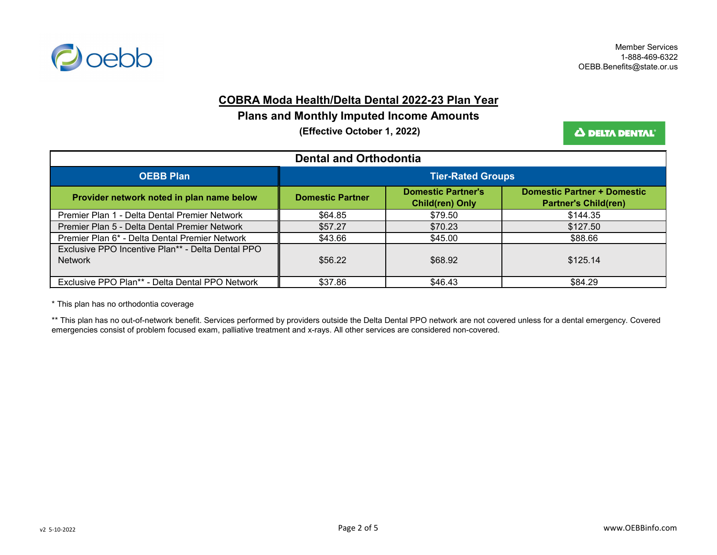

#### **COBRA Moda Health/Delta Dental 2022-23 Plan Year**

## **Plans and Monthly Imputed Income Amounts**

 **(Effective October 1, 2022)**

Δ DELTA DENTAL'

| <b>Dental and Orthodontia</b>                                       |                           |                                                     |                                                                   |
|---------------------------------------------------------------------|---------------------------|-----------------------------------------------------|-------------------------------------------------------------------|
| <b>OEBB Plan</b>                                                    | <u>Tier-</u> Rated Groups |                                                     |                                                                   |
| Provider network noted in plan name below                           | <b>Domestic Partner</b>   | <b>Domestic Partner's</b><br><b>Child(ren) Only</b> | <b>Domestic Partner + Domestic</b><br><b>Partner's Child(ren)</b> |
| Premier Plan 1 - Delta Dental Premier Network                       | \$64.85                   | \$79.50                                             | \$144.35                                                          |
| Premier Plan 5 - Delta Dental Premier Network                       | \$57.27                   | \$70.23                                             | \$127.50                                                          |
| Premier Plan 6* - Delta Dental Premier Network                      | \$43.66                   | \$45.00                                             | \$88.66                                                           |
| Exclusive PPO Incentive Plan** - Delta Dental PPO<br><b>Network</b> | \$56.22                   | \$68.92                                             | \$125.14                                                          |
| Exclusive PPO Plan** - Delta Dental PPO Network                     | \$37.86                   | \$46.43                                             | \$84.29                                                           |

\* This plan has no orthodontia coverage

\*\* This plan has no out-of-network benefit. Services performed by providers outside the Delta Dental PPO network are not covered unless for a dental emergency. Covered emergencies consist of problem focused exam, palliative treatment and x-rays. All other services are considered non-covered.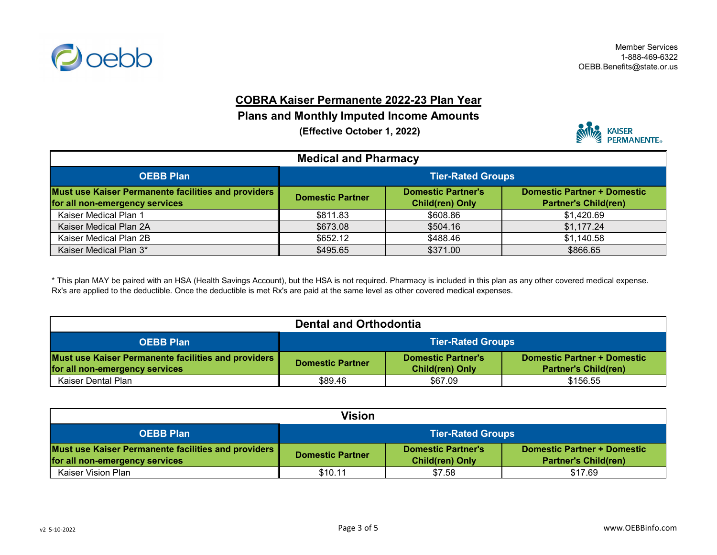

# **COBRA Kaiser Permanente 2022-23 Plan Year**

# **Plans and Monthly Imputed Income Amounts**

 **(Effective October 1, 2022)**



| <b>Medical and Pharmacy</b>                                                              |                                                                                                                                                     |          |            |  |
|------------------------------------------------------------------------------------------|-----------------------------------------------------------------------------------------------------------------------------------------------------|----------|------------|--|
| <b>OEBB Plan</b>                                                                         | <b>Tier-Rated Groups</b>                                                                                                                            |          |            |  |
| Must use Kaiser Permanente facilities and providers   <br>for all non-emergency services | <b>Domestic Partner + Domestic</b><br><b>Domestic Partner's</b><br><b>Domestic Partner</b><br><b>Partner's Child(ren)</b><br><b>Child(ren) Only</b> |          |            |  |
| Kaiser Medical Plan 1                                                                    | \$811.83                                                                                                                                            | \$608.86 | \$1,420.69 |  |
| Kaiser Medical Plan 2A                                                                   | \$673.08                                                                                                                                            | \$504.16 | \$1,177.24 |  |
| Kaiser Medical Plan 2B                                                                   | \$652.12                                                                                                                                            | \$488.46 | \$1,140.58 |  |
| Kaiser Medical Plan 3*                                                                   | \$495.65                                                                                                                                            | \$371.00 | \$866.65   |  |

\* This plan MAY be paired with an HSA (Health Savings Account), but the HSA is not required. Pharmacy is included in this plan as any other covered medical expense. Rx's are applied to the deductible. Once the deductible is met Rx's are paid at the same level as other covered medical expenses.

| <b>Dental and Orthodontia</b>                                                            |                          |                                                     |                                                                   |
|------------------------------------------------------------------------------------------|--------------------------|-----------------------------------------------------|-------------------------------------------------------------------|
| <b>OEBB Plan</b>                                                                         | <b>Tier-Rated Groups</b> |                                                     |                                                                   |
| Must use Kaiser Permanente facilities and providers   <br>for all non-emergency services | <b>Domestic Partner</b>  | <b>Domestic Partner's</b><br><b>Child(ren) Only</b> | <b>Domestic Partner + Domestic</b><br><b>Partner's Child(ren)</b> |
| Kaiser Dental Plan                                                                       | \$89.46                  | \$67.09                                             | \$156.55                                                          |

| <b>Vision</b>                                                                            |                                                                                                                                                     |        |         |
|------------------------------------------------------------------------------------------|-----------------------------------------------------------------------------------------------------------------------------------------------------|--------|---------|
| <b>OEBB Plan</b>                                                                         | <b>Tier-Rated Groups</b>                                                                                                                            |        |         |
| Must use Kaiser Permanente facilities and providers   <br>for all non-emergency services | <b>Domestic Partner + Domestic</b><br><b>Domestic Partner's</b><br><b>Domestic Partner</b><br><b>Child(ren) Only</b><br><b>Partner's Child(ren)</b> |        |         |
| Kaiser Vision Plan                                                                       | \$10.11                                                                                                                                             | \$7.58 | \$17.69 |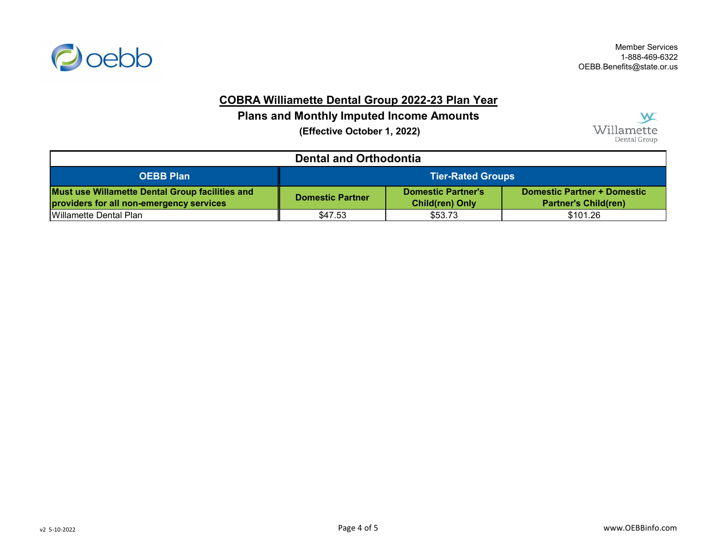

Member Services 1-888-469-6322 OEBB.Benefits@state.or.us

# **COBRA Williamette Dental Group 2022-23 Plan Year**

## **Plans and Monthly Imputed Income Amounts**

 **(Effective October 1, 2022)**



| <b>Dental and Orthodontia</b>                                                               |                                                                                                                                                     |         |          |
|---------------------------------------------------------------------------------------------|-----------------------------------------------------------------------------------------------------------------------------------------------------|---------|----------|
| <b>OEBB Plan</b>                                                                            | <b>Tier-Rated Groups</b>                                                                                                                            |         |          |
| Must use Willamette Dental Group facilities and<br>providers for all non-emergency services | <b>Domestic Partner + Domestic</b><br><b>Domestic Partner's</b><br><b>Domestic Partner</b><br><b>Partner's Child(ren)</b><br><b>Child(ren) Only</b> |         |          |
| <b>I</b> Willamette Dental Plan                                                             | \$47.53                                                                                                                                             | \$53.73 | \$101.26 |